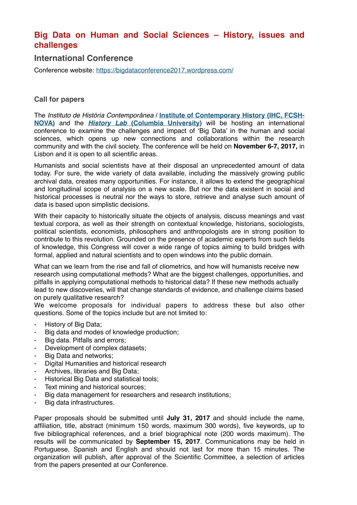# **Big Data on Human and Social Sciences – History, issues and challenges**

## **International Conference**

Conference website: <https://bigdataconference2017.wordpress.com/>

### **Call for papers**

The *Instituto de História Contemporânea* / **[Institute of Contemporary History](http://ihc.fcsh.unl.pt/en%20) (IHC, FCSH-NOVA)** and the *History Lab* **[\(Columbia University](http://www.history-lab.org/))** will be hosting an international conference to examine the challenges and impact of 'Big Data' in the human and social sciences, which opens up new connections and collaborations within the research community and with the civil society. The conference will be held on **November 6-7, 2017,** in Lisbon and it is open to all scientific areas.

Humanists and social scientists have at their disposal an unprecedented amount of data today. For sure, the wide variety of data available, including the massively growing public archival data, creates many opportunities. For instance, it allows to extend the geographical and longitudinal scope of analysis on a new scale. But nor the data existent in social and historical processes is neutral nor the ways to store, retrieve and analyse such amount of data is based upon simplistic decisions.

With their capacity to historically situate the objects of analysis, discuss meanings and vast textual corpora, as well as their strength on contextual knowledge, historians, sociologists, political scientists, economists, philosophers and anthropologists are in strong position to contribute to this revolution. Grounded on the presence of academic experts from such fields of knowledge, this Congress will cover a wide range of topics aiming to build bridges with formal, applied and natural scientists and to open windows into the public domain.

What can we learn from the rise and fall of cliometrics, and how will humanists receive new research using computational methods? What are the biggest challenges, opportunities, and pitfalls in applying computational methods to historical data? If these new methods actually lead to new discoveries, will that change standards of evidence, and challenge claims based on purely qualitative research?

We welcome proposals for individual papers to address these but also other questions. Some of the topics include but are not limited to:

- History of Big Data;
- Big data and modes of knowledge production;
- Big data. Pitfalls and errors;
- Development of complex datasets;
- Big Data and networks;
- Digital Humanities and historical research
- Archives, libraries and Big Data;
- Historical Big Data and statistical tools;
- Text mining and historical sources:
- Big data management for researchers and research institutions;
- Big data infrastructures.

Paper proposals should be submitted until **July 31, 2017** and should include the name, affiliation, title, abstract (minimum 150 words, maximum 300 words), five keywords, up to five bibliographical references, and a brief biographical note (200 words maximum). The results will be communicated by **September 15, 2017**. Communications may be held in Portuguese, Spanish and English and should not last for more than 15 minutes. The organization will publish, after approval of the Scientific Committee, a selection of articles from the papers presented at our Conference.